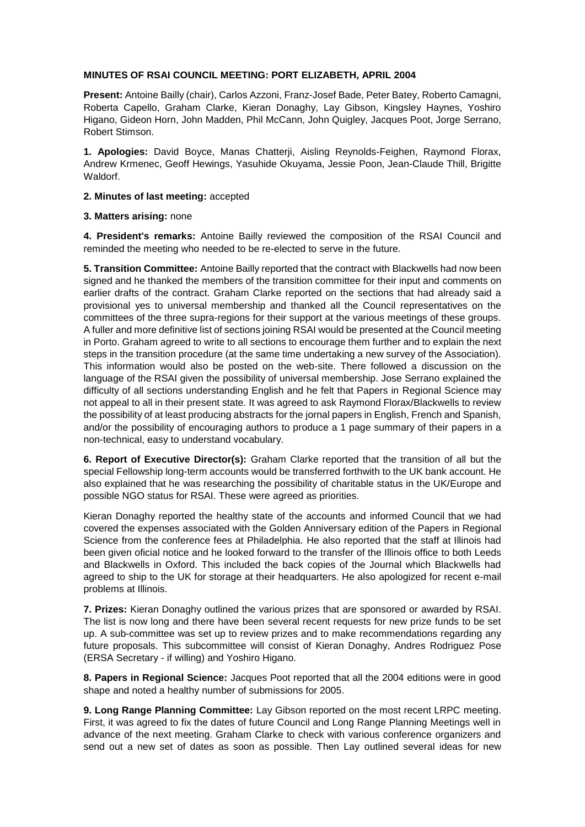## **MINUTES OF RSAI COUNCIL MEETING: PORT ELIZABETH, APRIL 2004**

**Present:** Antoine Bailly (chair), Carlos Azzoni, Franz-Josef Bade, Peter Batey, Roberto Camagni, Roberta Capello, Graham Clarke, Kieran Donaghy, Lay Gibson, Kingsley Haynes, Yoshiro Higano, Gideon Horn, John Madden, Phil McCann, John Quigley, Jacques Poot, Jorge Serrano, Robert Stimson.

**1. Apologies:** David Boyce, Manas Chatterji, Aisling Reynolds-Feighen, Raymond Florax, Andrew Krmenec, Geoff Hewings, Yasuhide Okuyama, Jessie Poon, Jean-Claude Thill, Brigitte Waldorf.

**2. Minutes of last meeting:** accepted

## **3. Matters arising:** none

**4. President's remarks:** Antoine Bailly reviewed the composition of the RSAI Council and reminded the meeting who needed to be re-elected to serve in the future.

**5. Transition Committee:** Antoine Bailly reported that the contract with Blackwells had now been signed and he thanked the members of the transition committee for their input and comments on earlier drafts of the contract. Graham Clarke reported on the sections that had already said a provisional yes to universal membership and thanked all the Council representatives on the committees of the three supra-regions for their support at the various meetings of these groups. A fuller and more definitive list of sections joining RSAI would be presented at the Council meeting in Porto. Graham agreed to write to all sections to encourage them further and to explain the next steps in the transition procedure (at the same time undertaking a new survey of the Association). This information would also be posted on the web-site. There followed a discussion on the language of the RSAI given the possibility of universal membership. Jose Serrano explained the difficulty of all sections understanding English and he felt that Papers in Regional Science may not appeal to all in their present state. It was agreed to ask Raymond Florax/Blackwells to review the possibility of at least producing abstracts for the jornal papers in English, French and Spanish, and/or the possibility of encouraging authors to produce a 1 page summary of their papers in a non-technical, easy to understand vocabulary.

**6. Report of Executive Director(s):** Graham Clarke reported that the transition of all but the special Fellowship long-term accounts would be transferred forthwith to the UK bank account. He also explained that he was researching the possibility of charitable status in the UK/Europe and possible NGO status for RSAI. These were agreed as priorities.

Kieran Donaghy reported the healthy state of the accounts and informed Council that we had covered the expenses associated with the Golden Anniversary edition of the Papers in Regional Science from the conference fees at Philadelphia. He also reported that the staff at Illinois had been given oficial notice and he looked forward to the transfer of the Illinois office to both Leeds and Blackwells in Oxford. This included the back copies of the Journal which Blackwells had agreed to ship to the UK for storage at their headquarters. He also apologized for recent e-mail problems at Illinois.

**7. Prizes:** Kieran Donaghy outlined the various prizes that are sponsored or awarded by RSAI. The list is now long and there have been several recent requests for new prize funds to be set up. A sub-committee was set up to review prizes and to make recommendations regarding any future proposals. This subcommittee will consist of Kieran Donaghy, Andres Rodriguez Pose (ERSA Secretary - if willing) and Yoshiro Higano.

**8. Papers in Regional Science:** Jacques Poot reported that all the 2004 editions were in good shape and noted a healthy number of submissions for 2005.

**9. Long Range Planning Committee:** Lay Gibson reported on the most recent LRPC meeting. First, it was agreed to fix the dates of future Council and Long Range Planning Meetings well in advance of the next meeting. Graham Clarke to check with various conference organizers and send out a new set of dates as soon as possible. Then Lay outlined several ideas for new